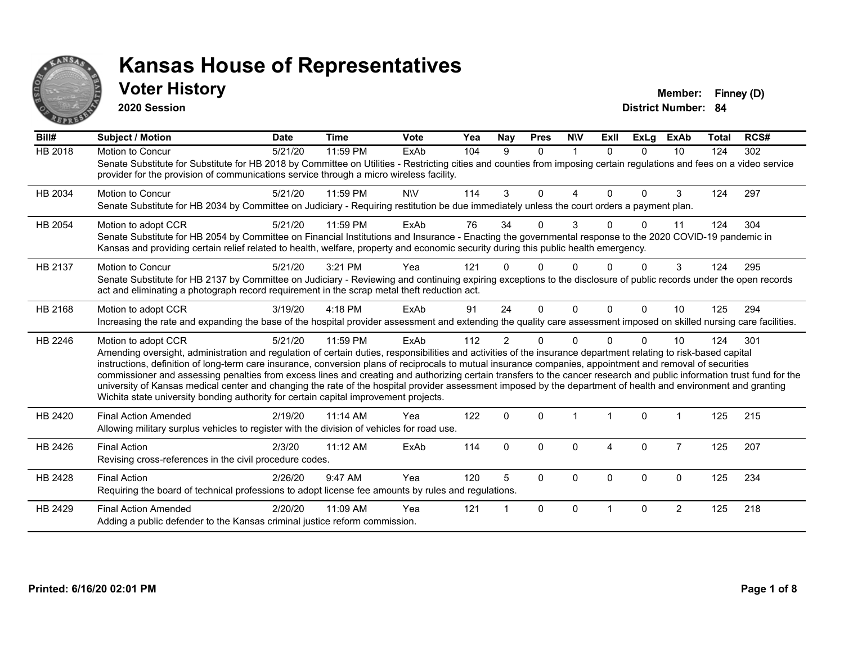

### **Voter History Member: Finney (D)**

**2020 Session**

| Bill#          | <b>Subject / Motion</b>                                                                                                                                                                                                                                                                                                                                                                                                                                                                                                                                                                                                                                                                                                                                                                  | <b>Date</b> | <b>Time</b> | <b>Vote</b> | Yea | Nay            | <b>Pres</b> | <b>NIV</b>  | ExII     | <b>ExLg</b> | <b>ExAb</b>    | <b>Total</b> | RCS# |
|----------------|------------------------------------------------------------------------------------------------------------------------------------------------------------------------------------------------------------------------------------------------------------------------------------------------------------------------------------------------------------------------------------------------------------------------------------------------------------------------------------------------------------------------------------------------------------------------------------------------------------------------------------------------------------------------------------------------------------------------------------------------------------------------------------------|-------------|-------------|-------------|-----|----------------|-------------|-------------|----------|-------------|----------------|--------------|------|
| <b>HB 2018</b> | Motion to Concur<br>Senate Substitute for Substitute for HB 2018 by Committee on Utilities - Restricting cities and counties from imposing certain regulations and fees on a video service<br>provider for the provision of communications service through a micro wireless facility.                                                                                                                                                                                                                                                                                                                                                                                                                                                                                                    | 5/21/20     | 11:59 PM    | ExAb        | 104 | 9              | $\Omega$    | 1           | $\Omega$ | $\Omega$    | 10             | 124          | 302  |
| HB 2034        | Motion to Concur<br>Senate Substitute for HB 2034 by Committee on Judiciary - Requiring restitution be due immediately unless the court orders a payment plan.                                                                                                                                                                                                                                                                                                                                                                                                                                                                                                                                                                                                                           | 5/21/20     | 11:59 PM    | <b>NIV</b>  | 114 | 3              | $\Omega$    | 4           | $\Omega$ | $\Omega$    | 3              | 124          | 297  |
| HB 2054        | Motion to adopt CCR<br>Senate Substitute for HB 2054 by Committee on Financial Institutions and Insurance - Enacting the governmental response to the 2020 COVID-19 pandemic in<br>Kansas and providing certain relief related to health, welfare, property and economic security during this public health emergency.                                                                                                                                                                                                                                                                                                                                                                                                                                                                   | 5/21/20     | 11:59 PM    | ExAb        | 76  | 34             | U           | 3           |          | 0           | 11             | 124          | 304  |
| HB 2137        | Motion to Concur<br>Senate Substitute for HB 2137 by Committee on Judiciary - Reviewing and continuing expiring exceptions to the disclosure of public records under the open records<br>act and eliminating a photograph record requirement in the scrap metal theft reduction act.                                                                                                                                                                                                                                                                                                                                                                                                                                                                                                     | 5/21/20     | 3:21 PM     | Yea         | 121 |                | U           | 0           |          | $\Omega$    | 3              | 124          | 295  |
| HB 2168        | Motion to adopt CCR<br>Increasing the rate and expanding the base of the hospital provider assessment and extending the quality care assessment imposed on skilled nursing care facilities.                                                                                                                                                                                                                                                                                                                                                                                                                                                                                                                                                                                              | 3/19/20     | 4:18 PM     | ExAb        | 91  | 24             | $\Omega$    | $\mathbf 0$ | $\Omega$ | $\Omega$    | 10             | 125          | 294  |
| HB 2246        | Motion to adopt CCR<br>Amending oversight, administration and regulation of certain duties, responsibilities and activities of the insurance department relating to risk-based capital<br>instructions, definition of long-term care insurance, conversion plans of reciprocals to mutual insurance companies, appointment and removal of securities<br>commissioner and assessing penalties from excess lines and creating and authorizing certain transfers to the cancer research and public information trust fund for the<br>university of Kansas medical center and changing the rate of the hospital provider assessment imposed by the department of health and environment and granting<br>Wichita state university bonding authority for certain capital improvement projects. | 5/21/20     | 11:59 PM    | ExAb        | 112 | $\overline{2}$ | U           | $\Omega$    |          | $\Omega$    | 10             | 124          | 301  |
| HB 2420        | <b>Final Action Amended</b><br>Allowing military surplus vehicles to register with the division of vehicles for road use.                                                                                                                                                                                                                                                                                                                                                                                                                                                                                                                                                                                                                                                                | 2/19/20     | 11:14 AM    | Yea         | 122 | $\Omega$       | $\Omega$    |             |          | $\Omega$    |                | 125          | 215  |
| HB 2426        | <b>Final Action</b><br>Revising cross-references in the civil procedure codes.                                                                                                                                                                                                                                                                                                                                                                                                                                                                                                                                                                                                                                                                                                           | 2/3/20      | 11:12 AM    | ExAb        | 114 | $\mathbf{0}$   | $\Omega$    | 0           | 4        | $\mathbf 0$ | $\overline{7}$ | 125          | 207  |
| HB 2428        | <b>Final Action</b><br>Requiring the board of technical professions to adopt license fee amounts by rules and regulations.                                                                                                                                                                                                                                                                                                                                                                                                                                                                                                                                                                                                                                                               | 2/26/20     | 9:47 AM     | Yea         | 120 | 5              | $\Omega$    | $\Omega$    | $\Omega$ | $\Omega$    | $\Omega$       | 125          | 234  |
| HB 2429        | <b>Final Action Amended</b><br>Adding a public defender to the Kansas criminal justice reform commission.                                                                                                                                                                                                                                                                                                                                                                                                                                                                                                                                                                                                                                                                                | 2/20/20     | 11:09 AM    | Yea         | 121 |                | $\Omega$    | $\Omega$    |          | $\Omega$    | 2              | 125          | 218  |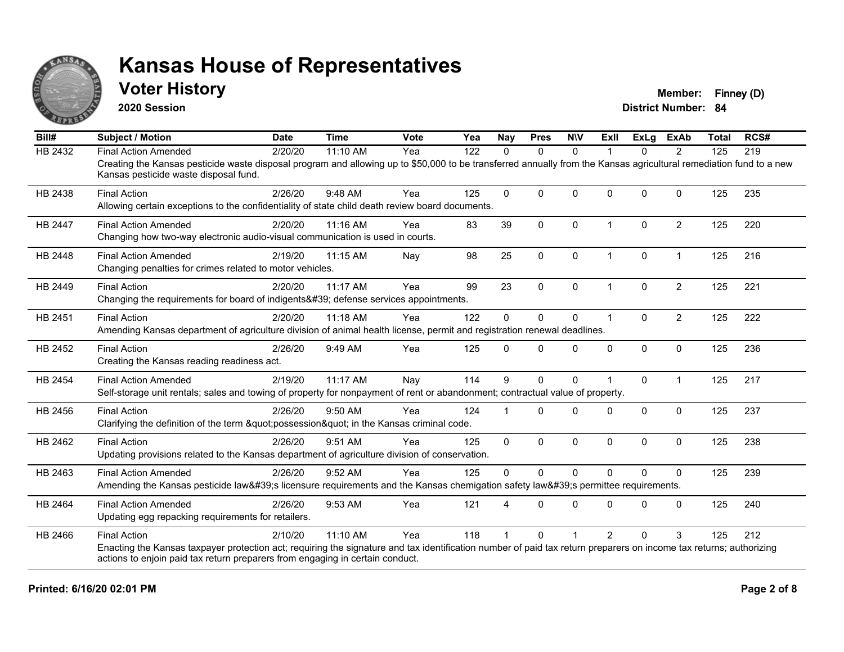

### **Voter History Member: Finney (D)**

**2020 Session**

| Bill#          | <b>Subject / Motion</b>                                                                                                                                                                                     | <b>Date</b> | <b>Time</b> | <b>Vote</b> | Yea | <b>Nay</b>  | <b>Pres</b>  | <b>NIV</b>   | ExII                 | ExLg      | <b>ExAb</b>    | <b>Total</b> | RCS# |
|----------------|-------------------------------------------------------------------------------------------------------------------------------------------------------------------------------------------------------------|-------------|-------------|-------------|-----|-------------|--------------|--------------|----------------------|-----------|----------------|--------------|------|
| HB 2432        | <b>Final Action Amended</b>                                                                                                                                                                                 | 2/20/20     | 11:10 AM    | Yea         | 122 | $\Omega$    | $\mathbf{0}$ | $\Omega$     |                      | $\Omega$  | $\overline{2}$ | 125          | 219  |
|                | Creating the Kansas pesticide waste disposal program and allowing up to \$50,000 to be transferred annually from the Kansas agricultural remediation fund to a new<br>Kansas pesticide waste disposal fund. |             |             |             |     |             |              |              |                      |           |                |              |      |
| HB 2438        | <b>Final Action</b>                                                                                                                                                                                         | 2/26/20     | 9:48 AM     | Yea         | 125 | $\Omega$    | $\Omega$     | $\Omega$     | $\Omega$             | $\Omega$  | $\mathbf 0$    | 125          | 235  |
|                | Allowing certain exceptions to the confidentiality of state child death review board documents.                                                                                                             |             |             |             |     |             |              |              |                      |           |                |              |      |
| <b>HB 2447</b> | <b>Final Action Amended</b>                                                                                                                                                                                 | 2/20/20     | $11:16$ AM  | Yea         | 83  | 39          | $\mathbf{0}$ | $\Omega$     | $\overline{1}$       | $\Omega$  | $\overline{2}$ | 125          | 220  |
|                | Changing how two-way electronic audio-visual communication is used in courts.                                                                                                                               |             |             |             |     |             |              |              |                      |           |                |              |      |
| HB 2448        | <b>Final Action Amended</b>                                                                                                                                                                                 | 2/19/20     | 11:15 AM    | Nay         | 98  | 25          | 0            | 0            | $\overline{1}$       | $\pmb{0}$ | $\overline{1}$ | 125          | 216  |
|                | Changing penalties for crimes related to motor vehicles.                                                                                                                                                    |             |             |             |     |             |              |              |                      |           |                |              |      |
| HB 2449        | <b>Final Action</b>                                                                                                                                                                                         | 2/20/20     | $11:17$ AM  | Yea         | 99  | 23          | $\Omega$     | $\Omega$     |                      | $\Omega$  | $\overline{2}$ | 125          | 221  |
|                | Changing the requirements for board of indigents' defense services appointments.                                                                                                                            |             |             |             |     |             |              |              |                      |           |                |              |      |
| HB 2451        | <b>Final Action</b>                                                                                                                                                                                         | 2/20/20     | 11:18 AM    | Yea         | 122 | $\mathbf 0$ | $\mathbf 0$  | 0            | $\blacktriangleleft$ | $\Omega$  | $\overline{2}$ | 125          | 222  |
|                | Amending Kansas department of agriculture division of animal health license, permit and registration renewal deadlines.                                                                                     |             |             |             |     |             |              |              |                      |           |                |              |      |
| HB 2452        | <b>Final Action</b>                                                                                                                                                                                         | 2/26/20     | 9:49 AM     | Yea         | 125 | $\Omega$    | $\Omega$     | $\Omega$     | $\Omega$             | 0         | $\mathbf 0$    | 125          | 236  |
|                | Creating the Kansas reading readiness act.                                                                                                                                                                  |             |             |             |     |             |              |              |                      |           |                |              |      |
| <b>HB 2454</b> | <b>Final Action Amended</b>                                                                                                                                                                                 | 2/19/20     | 11:17 AM    | Nay         | 114 | 9           | $\Omega$     | 0            |                      | $\Omega$  | $\overline{1}$ | 125          | 217  |
|                | Self-storage unit rentals; sales and towing of property for nonpayment of rent or abandonment; contractual value of property.                                                                               |             |             |             |     |             |              |              |                      |           |                |              |      |
| HB 2456        | <b>Final Action</b>                                                                                                                                                                                         | 2/26/20     | 9:50 AM     | Yea         | 124 |             | $\Omega$     | $\Omega$     | <sup>0</sup>         | $\Omega$  | $\Omega$       | 125          | 237  |
|                | Clarifying the definition of the term "possession" in the Kansas criminal code.                                                                                                                             |             |             |             |     |             |              |              |                      |           |                |              |      |
| HB 2462        | <b>Final Action</b>                                                                                                                                                                                         | 2/26/20     | 9:51 AM     | Yea         | 125 | $\Omega$    | $\mathbf 0$  | 0            | $\Omega$             | 0         | $\mathbf 0$    | 125          | 238  |
|                | Updating provisions related to the Kansas department of agriculture division of conservation.                                                                                                               |             |             |             |     |             |              |              |                      |           |                |              |      |
| HB 2463        | <b>Final Action Amended</b>                                                                                                                                                                                 | 2/26/20     | 9:52 AM     | Yea         | 125 | $\mathbf 0$ | $\Omega$     | $\mathbf 0$  | $\Omega$             | $\Omega$  | $\mathbf{0}$   | 125          | 239  |
|                | Amending the Kansas pesticide law's licensure requirements and the Kansas chemigation safety law's permittee requirements.                                                                                  |             |             |             |     |             |              |              |                      |           |                |              |      |
| HB 2464        | <b>Final Action Amended</b>                                                                                                                                                                                 | 2/26/20     | 9:53 AM     | Yea         | 121 | 4           | $\Omega$     | $\mathbf{0}$ | $\Omega$             | $\Omega$  | $\Omega$       | 125          | 240  |
|                | Updating egg repacking requirements for retailers.                                                                                                                                                          |             |             |             |     |             |              |              |                      |           |                |              |      |
| HB 2466        | <b>Final Action</b>                                                                                                                                                                                         | 2/10/20     | 11:10 AM    | Yea         | 118 |             | $\Omega$     |              | $\overline{2}$       | $\Omega$  | 3              | 125          | 212  |
|                | Enacting the Kansas taxpayer protection act; requiring the signature and tax identification number of paid tax return preparers on income tax returns; authorizing                                          |             |             |             |     |             |              |              |                      |           |                |              |      |
|                | actions to enjoin paid tax return preparers from engaging in certain conduct.                                                                                                                               |             |             |             |     |             |              |              |                      |           |                |              |      |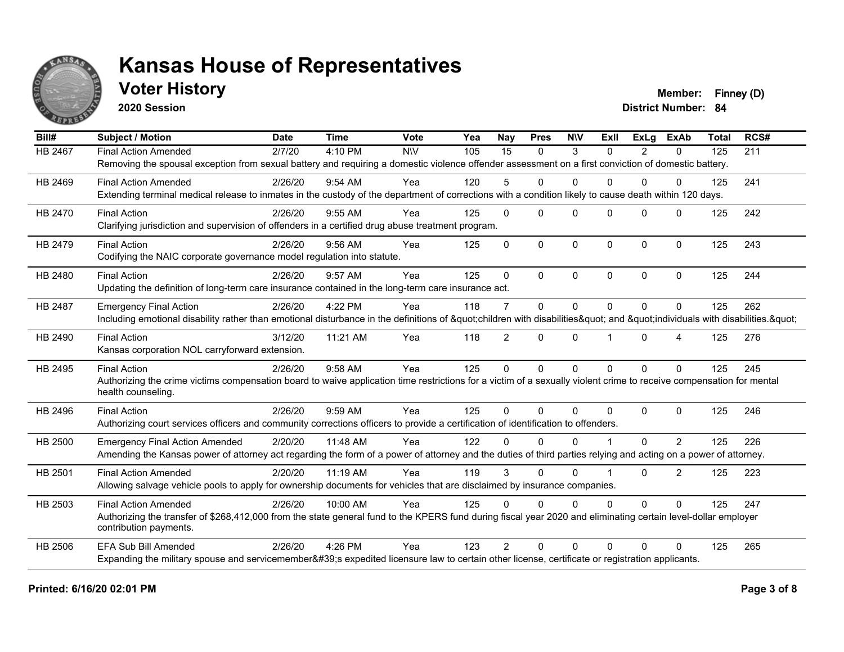

## **Voter History Member: Finney (D)**

**2020 Session**

| Bill#          | <b>Subject / Motion</b>                                                                                                                                             | <b>Date</b> | <b>Time</b> | Vote       | Yea | <b>Nay</b>     | <b>Pres</b>  | <b>NIV</b>   | Exll     | ExLa           | <b>ExAb</b>      | <b>Total</b> | RCS# |
|----------------|---------------------------------------------------------------------------------------------------------------------------------------------------------------------|-------------|-------------|------------|-----|----------------|--------------|--------------|----------|----------------|------------------|--------------|------|
| HB 2467        | <b>Final Action Amended</b>                                                                                                                                         | 2/7/20      | 4:10 PM     | <b>NIV</b> | 105 | 15             | $\mathbf{0}$ | 3            | $\Omega$ | $\overline{2}$ | $\mathbf{0}$     | 125          | 211  |
|                | Removing the spousal exception from sexual battery and requiring a domestic violence offender assessment on a first conviction of domestic battery.                 |             |             |            |     |                |              |              |          |                |                  |              |      |
| HB 2469        | <b>Final Action Amended</b>                                                                                                                                         | 2/26/20     | 9:54 AM     | Yea        | 120 | 5              | 0            | $\Omega$     | 0        | $\Omega$       | $\Omega$         | 125          | 241  |
|                | Extending terminal medical release to inmates in the custody of the department of corrections with a condition likely to cause death within 120 days.               |             |             |            |     |                |              |              |          |                |                  |              |      |
| HB 2470        | <b>Final Action</b>                                                                                                                                                 | 2/26/20     | $9:55$ AM   | Yea        | 125 | $\Omega$       | $\Omega$     | $\Omega$     | $\Omega$ | $\Omega$       | $\Omega$         | 125          | 242  |
|                | Clarifying jurisdiction and supervision of offenders in a certified drug abuse treatment program.                                                                   |             |             |            |     |                |              |              |          |                |                  |              |      |
| HB 2479        | <b>Final Action</b>                                                                                                                                                 | 2/26/20     | $9:56$ AM   | Yea        | 125 | $\Omega$       | $\mathbf{0}$ | 0            | $\Omega$ | $\Omega$       | $\mathbf 0$      | 125          | 243  |
|                | Codifying the NAIC corporate governance model regulation into statute.                                                                                              |             |             |            |     |                |              |              |          |                |                  |              |      |
| HB 2480        | <b>Final Action</b>                                                                                                                                                 | 2/26/20     | 9:57 AM     | Yea        | 125 | $\Omega$       | $\Omega$     | $\Omega$     | $\Omega$ | $\Omega$       | $\Omega$         | 125          | 244  |
|                | Updating the definition of long-term care insurance contained in the long-term care insurance act.                                                                  |             |             |            |     |                |              |              |          |                |                  |              |      |
| HB 2487        | <b>Emergency Final Action</b>                                                                                                                                       | 2/26/20     | 4:22 PM     | Yea        | 118 | $\overline{7}$ | $\mathbf 0$  | $\mathbf 0$  | $\Omega$ | 0              | $\Omega$         | 125          | 262  |
|                | Including emotional disability rather than emotional disturbance in the definitions of "children with disabilities" and "individuals with disabilities. "           |             |             |            |     |                |              |              |          |                |                  |              |      |
| HB 2490        | <b>Final Action</b>                                                                                                                                                 | 3/12/20     | 11:21 AM    | Yea        | 118 | $\overline{2}$ | $\mathbf{0}$ | 0            |          | $\Omega$       | $\boldsymbol{4}$ | 125          | 276  |
|                | Kansas corporation NOL carryforward extension.                                                                                                                      |             |             |            |     |                |              |              |          |                |                  |              |      |
| HB 2495        | <b>Final Action</b>                                                                                                                                                 | 2/26/20     | 9:58 AM     | Yea        | 125 | $\Omega$       | $\mathbf 0$  | $\mathbf{0}$ | $\Omega$ | $\Omega$       | $\Omega$         | 125          | 245  |
|                | Authorizing the crime victims compensation board to waive application time restrictions for a victim of a sexually violent crime to receive compensation for mental |             |             |            |     |                |              |              |          |                |                  |              |      |
|                | health counseling.                                                                                                                                                  |             |             |            |     |                |              |              |          |                |                  |              |      |
| HB 2496        | <b>Final Action</b>                                                                                                                                                 | 2/26/20     | 9:59 AM     | Yea        | 125 | $\Omega$       | $\Omega$     | $\Omega$     | $\Omega$ | $\Omega$       | $\Omega$         | 125          | 246  |
|                | Authorizing court services officers and community corrections officers to provide a certification of identification to offenders.                                   |             |             |            |     |                |              |              |          |                |                  |              |      |
| HB 2500        | <b>Emergency Final Action Amended</b>                                                                                                                               | 2/20/20     | 11:48 AM    | Yea        | 122 | U              | $\Omega$     | $\Omega$     |          | $\Omega$       | $\overline{2}$   | 125          | 226  |
|                | Amending the Kansas power of attorney act regarding the form of a power of attorney and the duties of third parties relying and acting on a power of attorney.      |             |             |            |     |                |              |              |          |                |                  |              |      |
| HB 2501        | <b>Final Action Amended</b>                                                                                                                                         | 2/20/20     | 11:19 AM    | Yea        | 119 | 3              | $\Omega$     | $\Omega$     |          | $\Omega$       | $\overline{2}$   | 125          | 223  |
|                | Allowing salvage vehicle pools to apply for ownership documents for vehicles that are disclaimed by insurance companies.                                            |             |             |            |     |                |              |              |          |                |                  |              |      |
| HB 2503        | <b>Final Action Amended</b>                                                                                                                                         | 2/26/20     | 10:00 AM    | Yea        | 125 | $\Omega$       | $\Omega$     | $\Omega$     | 0        | $\Omega$       | $\Omega$         | 125          | 247  |
|                | Authorizing the transfer of \$268,412,000 from the state general fund to the KPERS fund during fiscal year 2020 and eliminating certain level-dollar employer       |             |             |            |     |                |              |              |          |                |                  |              |      |
|                | contribution payments.                                                                                                                                              |             |             |            |     |                |              |              |          |                |                  |              |      |
| <b>HB 2506</b> | <b>EFA Sub Bill Amended</b>                                                                                                                                         | 2/26/20     | 4:26 PM     | Yea        | 123 | $\mathcal{P}$  | $\Omega$     | $\Omega$     | $\Omega$ | 0              | $\Omega$         | 125          | 265  |
|                | Expanding the military spouse and servicemember's expedited licensure law to certain other license, certificate or registration applicants.                         |             |             |            |     |                |              |              |          |                |                  |              |      |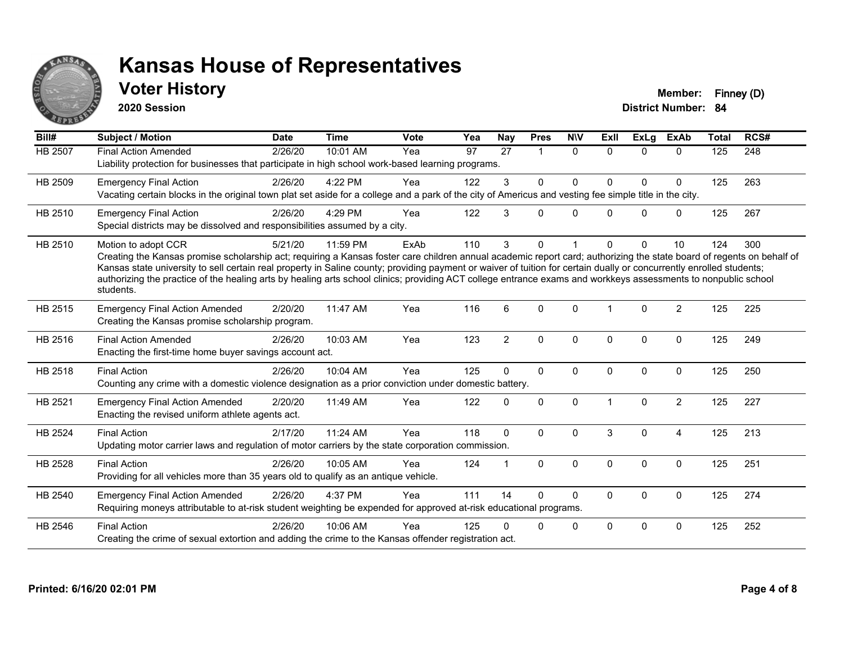

## **Voter History Member: Finney (D)**

**2020 Session**

| Bill#          | <b>Subject / Motion</b>                                                                                                                                                                                                                                                                                                                                                                                                                                                                                                                             | <b>Date</b> | <b>Time</b> | <b>Vote</b> | Yea | <b>Nay</b>     | <b>Pres</b>  | <b>NIV</b>  | ExII     | ExLg         | <b>ExAb</b>    | <b>Total</b> | RCS# |
|----------------|-----------------------------------------------------------------------------------------------------------------------------------------------------------------------------------------------------------------------------------------------------------------------------------------------------------------------------------------------------------------------------------------------------------------------------------------------------------------------------------------------------------------------------------------------------|-------------|-------------|-------------|-----|----------------|--------------|-------------|----------|--------------|----------------|--------------|------|
| <b>HB 2507</b> | <b>Final Action Amended</b><br>Liability protection for businesses that participate in high school work-based learning programs.                                                                                                                                                                                                                                                                                                                                                                                                                    | 2/26/20     | 10:01 AM    | Yea         | 97  | 27             |              | $\Omega$    | $\Omega$ | $\Omega$     | $\Omega$       | 125          | 248  |
| HB 2509        | <b>Emergency Final Action</b><br>Vacating certain blocks in the original town plat set aside for a college and a park of the city of Americus and vesting fee simple title in the city.                                                                                                                                                                                                                                                                                                                                                             | 2/26/20     | 4:22 PM     | Yea         | 122 | 3              | $\Omega$     | $\Omega$    | $\Omega$ | $\Omega$     | $\mathbf 0$    | 125          | 263  |
| HB 2510        | <b>Emergency Final Action</b><br>Special districts may be dissolved and responsibilities assumed by a city.                                                                                                                                                                                                                                                                                                                                                                                                                                         | 2/26/20     | 4:29 PM     | Yea         | 122 | 3              | $\Omega$     | $\Omega$    | 0        | $\Omega$     | $\mathbf 0$    | 125          | 267  |
| HB 2510        | Motion to adopt CCR<br>Creating the Kansas promise scholarship act; requiring a Kansas foster care children annual academic report card; authorizing the state board of regents on behalf of<br>Kansas state university to sell certain real property in Saline county; providing payment or waiver of tuition for certain dually or concurrently enrolled students;<br>authorizing the practice of the healing arts by healing arts school clinics; providing ACT college entrance exams and workkeys assessments to nonpublic school<br>students. | 5/21/20     | 11:59 PM    | ExAb        | 110 | 3              | 0            |             | 0        | $\Omega$     | 10             | 124          | 300  |
| HB 2515        | <b>Emergency Final Action Amended</b><br>Creating the Kansas promise scholarship program.                                                                                                                                                                                                                                                                                                                                                                                                                                                           | 2/20/20     | 11:47 AM    | Yea         | 116 | 6              | $\Omega$     | $\Omega$    |          | $\Omega$     | 2              | 125          | 225  |
| HB 2516        | <b>Final Action Amended</b><br>Enacting the first-time home buyer savings account act.                                                                                                                                                                                                                                                                                                                                                                                                                                                              | 2/26/20     | 10:03 AM    | Yea         | 123 | $\overline{2}$ | $\mathbf 0$  | $\mathbf 0$ | $\Omega$ | $\Omega$     | $\mathbf 0$    | 125          | 249  |
| HB 2518        | <b>Final Action</b><br>Counting any crime with a domestic violence designation as a prior conviction under domestic battery.                                                                                                                                                                                                                                                                                                                                                                                                                        | 2/26/20     | 10:04 AM    | Yea         | 125 | $\Omega$       | $\Omega$     | $\Omega$    | $\Omega$ | $\Omega$     | $\Omega$       | 125          | 250  |
| HB 2521        | <b>Emergency Final Action Amended</b><br>Enacting the revised uniform athlete agents act.                                                                                                                                                                                                                                                                                                                                                                                                                                                           | 2/20/20     | 11:49 AM    | Yea         | 122 | $\Omega$       | $\mathbf 0$  | $\Omega$    |          | $\mathbf{0}$ | $\overline{2}$ | 125          | 227  |
| <b>HB 2524</b> | <b>Final Action</b><br>Updating motor carrier laws and regulation of motor carriers by the state corporation commission.                                                                                                                                                                                                                                                                                                                                                                                                                            | 2/17/20     | 11:24 AM    | Yea         | 118 | $\mathbf{0}$   | $\Omega$     | $\Omega$    | 3        | $\Omega$     | $\overline{4}$ | 125          | 213  |
| HB 2528        | <b>Final Action</b><br>Providing for all vehicles more than 35 years old to qualify as an antique vehicle.                                                                                                                                                                                                                                                                                                                                                                                                                                          | 2/26/20     | 10:05 AM    | Yea         | 124 |                | $\mathbf{0}$ | $\Omega$    | $\Omega$ | $\mathbf{0}$ | $\Omega$       | 125          | 251  |
| HB 2540        | <b>Emergency Final Action Amended</b><br>Requiring moneys attributable to at-risk student weighting be expended for approved at-risk educational programs.                                                                                                                                                                                                                                                                                                                                                                                          | 2/26/20     | 4:37 PM     | Yea         | 111 | 14             | $\mathbf{0}$ | $\Omega$    | 0        | 0            | $\mathbf 0$    | 125          | 274  |
| HB 2546        | <b>Final Action</b><br>Creating the crime of sexual extortion and adding the crime to the Kansas offender registration act.                                                                                                                                                                                                                                                                                                                                                                                                                         | 2/26/20     | 10:06 AM    | Yea         | 125 |                | $\Omega$     | $\mathbf 0$ | $\Omega$ | $\Omega$     | 0              | 125          | 252  |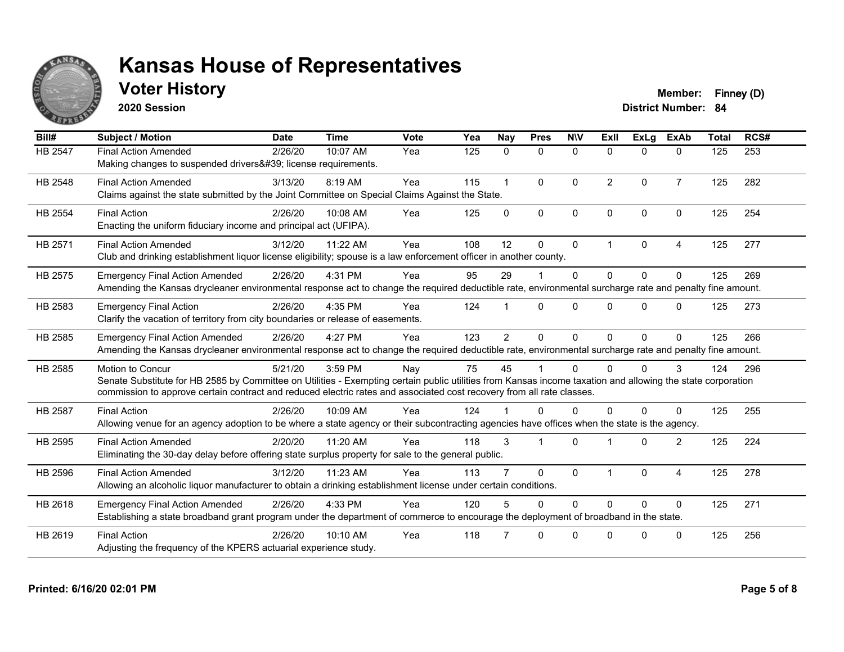

## **Voter History Member: Finney (D)**

**2020 Session**

| Bill#          | <b>Subject / Motion</b>                                                                                                                                                                                                                                                                                  | <b>Date</b> | <b>Time</b> | Vote | Yea | <b>Nay</b>     | <b>Pres</b>  | <b>NIV</b>   | ExII                 | <b>ExLg</b>  | <b>ExAb</b>    | <b>Total</b> | RCS# |
|----------------|----------------------------------------------------------------------------------------------------------------------------------------------------------------------------------------------------------------------------------------------------------------------------------------------------------|-------------|-------------|------|-----|----------------|--------------|--------------|----------------------|--------------|----------------|--------------|------|
| <b>HB 2547</b> | <b>Final Action Amended</b><br>Making changes to suspended drivers' license requirements.                                                                                                                                                                                                                | 2/26/20     | 10:07 AM    | Yea  | 125 | $\mathbf{0}$   | $\mathbf{0}$ | $\mathbf{0}$ | $\Omega$             | $\Omega$     | $\mathbf{0}$   | 125          | 253  |
| HB 2548        | <b>Final Action Amended</b><br>Claims against the state submitted by the Joint Committee on Special Claims Against the State.                                                                                                                                                                            | 3/13/20     | 8:19 AM     | Yea  | 115 | $\overline{1}$ | $\mathbf{0}$ | $\Omega$     | $\overline{2}$       | $\Omega$     | $\overline{7}$ | 125          | 282  |
| HB 2554        | <b>Final Action</b><br>Enacting the uniform fiduciary income and principal act (UFIPA).                                                                                                                                                                                                                  | 2/26/20     | 10:08 AM    | Yea  | 125 | $\mathbf{0}$   | $\mathbf{0}$ | $\mathbf{0}$ | $\Omega$             | $\Omega$     | $\Omega$       | 125          | 254  |
| HB 2571        | <b>Final Action Amended</b><br>Club and drinking establishment liquor license eligibility; spouse is a law enforcement officer in another county.                                                                                                                                                        | 3/12/20     | 11:22 AM    | Yea  | 108 | 12             | $\mathbf{0}$ | $\mathbf{0}$ | $\blacktriangleleft$ | $\mathbf{0}$ | 4              | 125          | 277  |
| HB 2575        | <b>Emergency Final Action Amended</b><br>Amending the Kansas drycleaner environmental response act to change the required deductible rate, environmental surcharge rate and penalty fine amount.                                                                                                         | 2/26/20     | 4:31 PM     | Yea  | 95  | 29             |              | $\Omega$     | $\Omega$             | $\Omega$     | $\Omega$       | 125          | 269  |
| HB 2583        | <b>Emergency Final Action</b><br>Clarify the vacation of territory from city boundaries or release of easements.                                                                                                                                                                                         | 2/26/20     | 4:35 PM     | Yea  | 124 |                | $\Omega$     | $\Omega$     | $\Omega$             | $\Omega$     | $\Omega$       | 125          | 273  |
| HB 2585        | <b>Emergency Final Action Amended</b><br>Amending the Kansas drycleaner environmental response act to change the required deductible rate, environmental surcharge rate and penalty fine amount.                                                                                                         | 2/26/20     | 4:27 PM     | Yea  | 123 | $\overline{2}$ | $\Omega$     | $\Omega$     | $\Omega$             | $\Omega$     | $\Omega$       | 125          | 266  |
| HB 2585        | Motion to Concur<br>Senate Substitute for HB 2585 by Committee on Utilities - Exempting certain public utilities from Kansas income taxation and allowing the state corporation<br>commission to approve certain contract and reduced electric rates and associated cost recovery from all rate classes. | 5/21/20     | 3:59 PM     | Nay  | 75  | 45             |              | $\Omega$     | U                    | $\Omega$     | 3              | 124          | 296  |
| <b>HB 2587</b> | <b>Final Action</b><br>Allowing venue for an agency adoption to be where a state agency or their subcontracting agencies have offices when the state is the agency.                                                                                                                                      | 2/26/20     | 10:09 AM    | Yea  | 124 |                | $\Omega$     | $\Omega$     | 0                    | $\Omega$     | 0              | 125          | 255  |
| HB 2595        | <b>Final Action Amended</b><br>Eliminating the 30-day delay before offering state surplus property for sale to the general public.                                                                                                                                                                       | 2/20/20     | 11:20 AM    | Yea  | 118 | 3              |              | $\Omega$     |                      | $\Omega$     | 2              | 125          | 224  |
| HB 2596        | <b>Final Action Amended</b><br>Allowing an alcoholic liquor manufacturer to obtain a drinking establishment license under certain conditions.                                                                                                                                                            | 3/12/20     | 11:23 AM    | Yea  | 113 |                | $\mathbf{0}$ | $\mathbf{0}$ |                      | $\Omega$     | 4              | 125          | 278  |
| HB 2618        | <b>Emergency Final Action Amended</b><br>Establishing a state broadband grant program under the department of commerce to encourage the deployment of broadband in the state.                                                                                                                            | 2/26/20     | 4:33 PM     | Yea  | 120 | 5              | $\Omega$     | $\Omega$     | $\Omega$             | $\Omega$     | $\Omega$       | 125          | 271  |
| HB 2619        | <b>Final Action</b><br>Adjusting the frequency of the KPERS actuarial experience study.                                                                                                                                                                                                                  | 2/26/20     | 10:10 AM    | Yea  | 118 |                | $\Omega$     | $\Omega$     | $\Omega$             | $\Omega$     | $\Omega$       | 125          | 256  |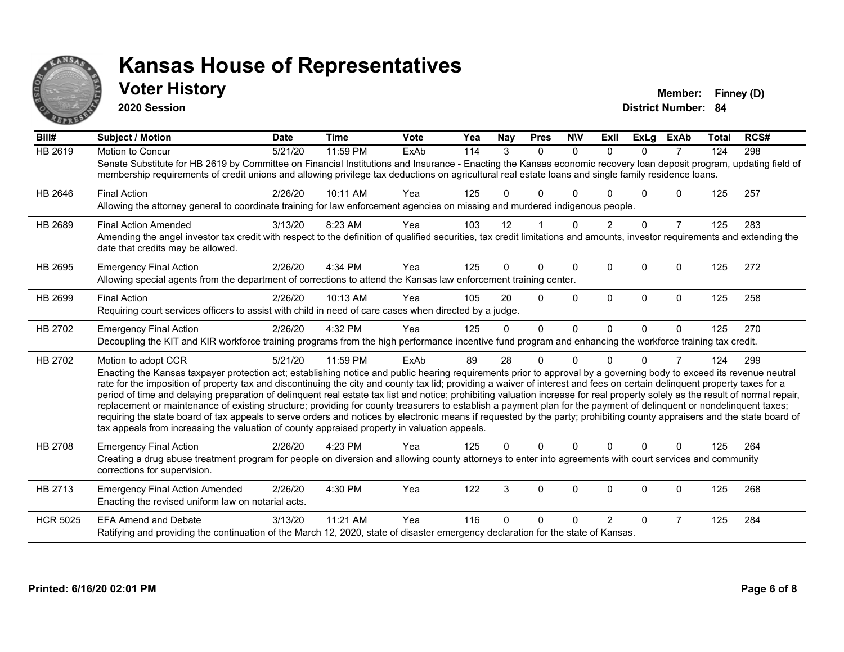

### **Voter History Member: Finney (D)**

**2020 Session**

| Bill#           | Subject / Motion                                                                                                                                                                                                                                                                                                                                                                                                                                                                                                                                                                                                                                                                                                                                                                                                                                                                                                                                                                                              | <b>Date</b> | <b>Time</b> | <b>Vote</b> | Yea | Nav      | <b>Pres</b>    | <b>NIV</b>   | ExII           | <b>ExLg</b> | <b>ExAb</b>    | <b>Total</b> | RCS# |
|-----------------|---------------------------------------------------------------------------------------------------------------------------------------------------------------------------------------------------------------------------------------------------------------------------------------------------------------------------------------------------------------------------------------------------------------------------------------------------------------------------------------------------------------------------------------------------------------------------------------------------------------------------------------------------------------------------------------------------------------------------------------------------------------------------------------------------------------------------------------------------------------------------------------------------------------------------------------------------------------------------------------------------------------|-------------|-------------|-------------|-----|----------|----------------|--------------|----------------|-------------|----------------|--------------|------|
| <b>HB 2619</b>  | <b>Motion to Concur</b><br>Senate Substitute for HB 2619 by Committee on Financial Institutions and Insurance - Enacting the Kansas economic recovery loan deposit program, updating field of<br>membership requirements of credit unions and allowing privilege tax deductions on agricultural real estate loans and single family residence loans.                                                                                                                                                                                                                                                                                                                                                                                                                                                                                                                                                                                                                                                          | 5/21/20     | 11:59 PM    | ExAb        | 114 | 3        | $\Omega$       | $\Omega$     | $\Omega$       | $\Omega$    | $\overline{7}$ | 124          | 298  |
| HB 2646         | <b>Final Action</b><br>Allowing the attorney general to coordinate training for law enforcement agencies on missing and murdered indigenous people.                                                                                                                                                                                                                                                                                                                                                                                                                                                                                                                                                                                                                                                                                                                                                                                                                                                           | 2/26/20     | 10:11 AM    | Yea         | 125 | 0        | 0              | n            |                | 0           | 0              | 125          | 257  |
| HB 2689         | <b>Final Action Amended</b><br>Amending the angel investor tax credit with respect to the definition of qualified securities, tax credit limitations and amounts, investor requirements and extending the<br>date that credits may be allowed.                                                                                                                                                                                                                                                                                                                                                                                                                                                                                                                                                                                                                                                                                                                                                                | 3/13/20     | 8:23 AM     | Yea         | 103 | 12       |                | $\Omega$     | $\overline{2}$ | $\Omega$    | $\overline{7}$ | 125          | 283  |
| HB 2695         | <b>Emergency Final Action</b><br>Allowing special agents from the department of corrections to attend the Kansas law enforcement training center.                                                                                                                                                                                                                                                                                                                                                                                                                                                                                                                                                                                                                                                                                                                                                                                                                                                             | 2/26/20     | 4:34 PM     | Yea         | 125 | 0        | 0              | $\Omega$     | $\Omega$       | $\Omega$    | 0              | 125          | 272  |
| HB 2699         | <b>Final Action</b><br>Requiring court services officers to assist with child in need of care cases when directed by a judge.                                                                                                                                                                                                                                                                                                                                                                                                                                                                                                                                                                                                                                                                                                                                                                                                                                                                                 | 2/26/20     | 10:13 AM    | Yea         | 105 | 20       | $\Omega$       | $\Omega$     | $\Omega$       | $\Omega$    | 0              | 125          | 258  |
| HB 2702         | <b>Emergency Final Action</b><br>Decoupling the KIT and KIR workforce training programs from the high performance incentive fund program and enhancing the workforce training tax credit.                                                                                                                                                                                                                                                                                                                                                                                                                                                                                                                                                                                                                                                                                                                                                                                                                     | 2/26/20     | 4:32 PM     | Yea         | 125 | $\Omega$ | $\overline{0}$ | $\mathbf{0}$ | $\Omega$       | $\Omega$    | $\mathbf{0}$   | 125          | 270  |
| HB 2702         | Motion to adopt CCR<br>Enacting the Kansas taxpayer protection act; establishing notice and public hearing requirements prior to approval by a governing body to exceed its revenue neutral<br>rate for the imposition of property tax and discontinuing the city and county tax lid; providing a waiver of interest and fees on certain delinquent property taxes for a<br>period of time and delaying preparation of delinquent real estate tax list and notice; prohibiting valuation increase for real property solely as the result of normal repair,<br>replacement or maintenance of existing structure; providing for county treasurers to establish a payment plan for the payment of delinquent or nondelinquent taxes;<br>requiring the state board of tax appeals to serve orders and notices by electronic means if requested by the party; prohibiting county appraisers and the state board of<br>tax appeals from increasing the valuation of county appraised property in valuation appeals. | 5/21/20     | 11:59 PM    | ExAb        | 89  | 28       | 0              | $\Omega$     | n              | $\Omega$    | 7              | 124          | 299  |
| HB 2708         | <b>Emergency Final Action</b><br>Creating a drug abuse treatment program for people on diversion and allowing county attorneys to enter into agreements with court services and community<br>corrections for supervision.                                                                                                                                                                                                                                                                                                                                                                                                                                                                                                                                                                                                                                                                                                                                                                                     | 2/26/20     | 4:23 PM     | Yea         | 125 | 0        | $\Omega$       | $\Omega$     | $\Omega$       | $\Omega$    | $\Omega$       | 125          | 264  |
| HB 2713         | <b>Emergency Final Action Amended</b><br>Enacting the revised uniform law on notarial acts.                                                                                                                                                                                                                                                                                                                                                                                                                                                                                                                                                                                                                                                                                                                                                                                                                                                                                                                   | 2/26/20     | 4:30 PM     | Yea         | 122 | 3        | 0              | 0            | $\Omega$       | $\Omega$    | 0              | 125          | 268  |
| <b>HCR 5025</b> | <b>EFA Amend and Debate</b><br>Ratifying and providing the continuation of the March 12, 2020, state of disaster emergency declaration for the state of Kansas.                                                                                                                                                                                                                                                                                                                                                                                                                                                                                                                                                                                                                                                                                                                                                                                                                                               | 3/13/20     | 11:21 AM    | Yea         | 116 | 0        | 0              | n            | $\overline{2}$ | $\Omega$    | 7              | 125          | 284  |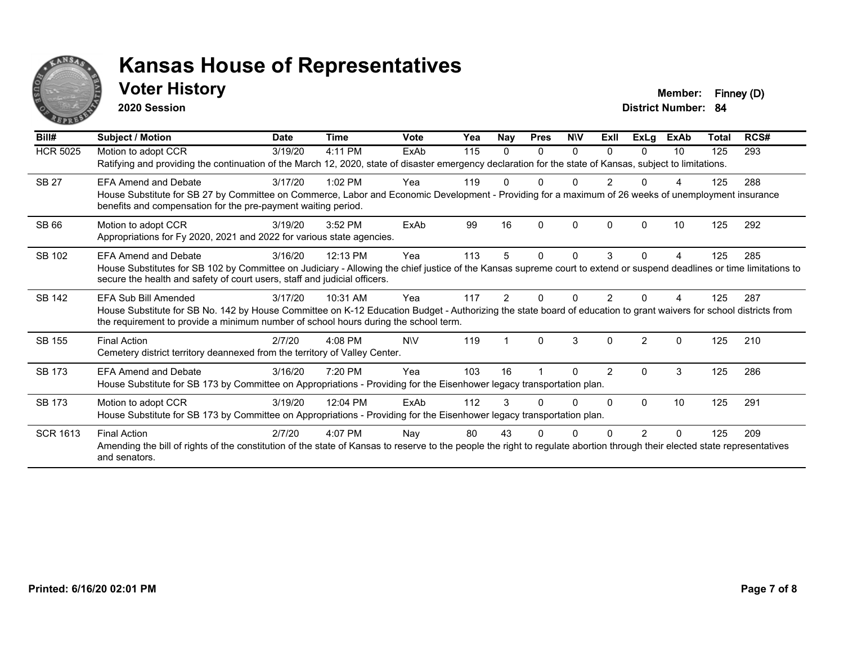

### **Voter History Member: Finney (D)**

**2020 Session**

| Bill#           | Subject / Motion                                                                                                                                                                                                                                                                  | <b>Date</b> | Time      | <b>Vote</b> | Yea | <b>Nay</b> | <b>Pres</b> | <b>NIV</b> | ExII          | <b>ExLg</b>    | <b>ExAb</b>  | Total | RCS# |
|-----------------|-----------------------------------------------------------------------------------------------------------------------------------------------------------------------------------------------------------------------------------------------------------------------------------|-------------|-----------|-------------|-----|------------|-------------|------------|---------------|----------------|--------------|-------|------|
| <b>HCR 5025</b> | Motion to adopt CCR<br>Ratifying and providing the continuation of the March 12, 2020, state of disaster emergency declaration for the state of Kansas, subject to limitations.                                                                                                   | 3/19/20     | 4:11 PM   | ExAb        | 115 | 0          | $\Omega$    | $\Omega$   | $\Omega$      | 0              | 10           | 125   | 293  |
| <b>SB 27</b>    | <b>EFA Amend and Debate</b><br>House Substitute for SB 27 by Committee on Commerce, Labor and Economic Development - Providing for a maximum of 26 weeks of unemployment insurance<br>benefits and compensation for the pre-payment waiting period.                               | 3/17/20     | $1:02$ PM | Yea         | 119 |            |             |            |               |                |              | 125   | 288  |
| SB 66           | Motion to adopt CCR<br>Appropriations for Fy 2020, 2021 and 2022 for various state agencies.                                                                                                                                                                                      | 3/19/20     | 3:52 PM   | ExAb        | 99  | 16         | n           | $\Omega$   | <sup>n</sup>  | ŋ              | 10           | 125   | 292  |
| SB 102          | <b>EFA Amend and Debate</b><br>House Substitutes for SB 102 by Committee on Judiciary - Allowing the chief justice of the Kansas supreme court to extend or suspend deadlines or time limitations to<br>secure the health and safety of court users, staff and judicial officers. | 3/16/20     | 12:13 PM  | Yea         | 113 | 5          | 0           | $\Omega$   | 3             | 0              | 4            | 125   | 285  |
| <b>SB 142</b>   | EFA Sub Bill Amended<br>House Substitute for SB No. 142 by House Committee on K-12 Education Budget - Authorizing the state board of education to grant waivers for school districts from<br>the requirement to provide a minimum number of school hours during the school term.  | 3/17/20     | 10:31 AM  | Yea         | 117 | 2          |             |            |               |                |              | 125   | 287  |
| SB 155          | <b>Final Action</b><br>Cemetery district territory deannexed from the territory of Valley Center.                                                                                                                                                                                 | 2/7/20      | 4:08 PM   | <b>NIV</b>  | 119 |            | 0           | 3          | $\Omega$      | $\overline{2}$ | $\mathbf{0}$ | 125   | 210  |
| SB 173          | <b>EFA Amend and Debate</b><br>House Substitute for SB 173 by Committee on Appropriations - Providing for the Eisenhower legacy transportation plan.                                                                                                                              | 3/16/20     | 7:20 PM   | Yea         | 103 | 16         |             | O          | $\mathcal{P}$ | 0              | 3            | 125   | 286  |
| <b>SB 173</b>   | Motion to adopt CCR<br>House Substitute for SB 173 by Committee on Appropriations - Providing for the Eisenhower legacy transportation plan.                                                                                                                                      | 3/19/20     | 12:04 PM  | ExAb        | 112 | 3          |             | U          | <sup>0</sup>  | $\Omega$       | 10           | 125   | 291  |
| <b>SCR 1613</b> | <b>Final Action</b><br>Amending the bill of rights of the constitution of the state of Kansas to reserve to the people the right to regulate abortion through their elected state representatives<br>and senators.                                                                | 2/7/20      | 4:07 PM   | Nay         | 80  | 43         |             |            |               | 2              | 0            | 125   | 209  |